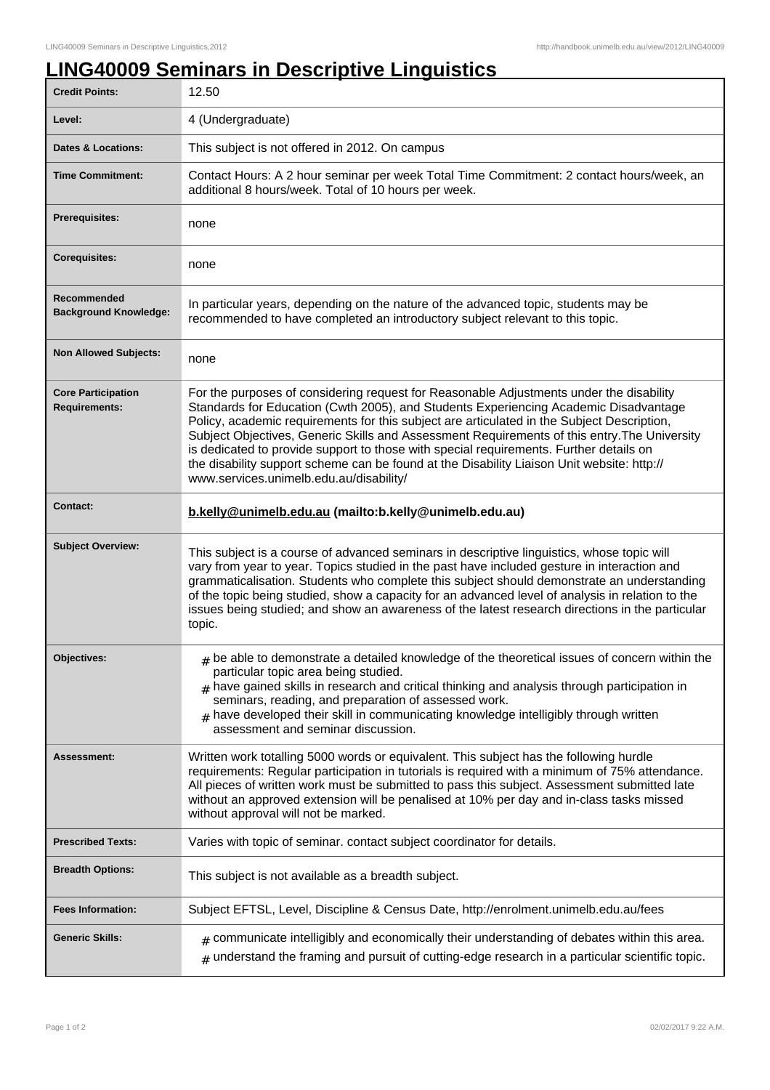## **LING40009 Seminars in Descriptive Linguistics**

| <b>Credit Points:</b>                             | 12.50                                                                                                                                                                                                                                                                                                                                                                                                                                                                                                                                                                                                            |
|---------------------------------------------------|------------------------------------------------------------------------------------------------------------------------------------------------------------------------------------------------------------------------------------------------------------------------------------------------------------------------------------------------------------------------------------------------------------------------------------------------------------------------------------------------------------------------------------------------------------------------------------------------------------------|
| Level:                                            | 4 (Undergraduate)                                                                                                                                                                                                                                                                                                                                                                                                                                                                                                                                                                                                |
| <b>Dates &amp; Locations:</b>                     | This subject is not offered in 2012. On campus                                                                                                                                                                                                                                                                                                                                                                                                                                                                                                                                                                   |
| <b>Time Commitment:</b>                           | Contact Hours: A 2 hour seminar per week Total Time Commitment: 2 contact hours/week, an<br>additional 8 hours/week. Total of 10 hours per week.                                                                                                                                                                                                                                                                                                                                                                                                                                                                 |
| Prerequisites:                                    | none                                                                                                                                                                                                                                                                                                                                                                                                                                                                                                                                                                                                             |
| <b>Corequisites:</b>                              | none                                                                                                                                                                                                                                                                                                                                                                                                                                                                                                                                                                                                             |
| Recommended<br><b>Background Knowledge:</b>       | In particular years, depending on the nature of the advanced topic, students may be<br>recommended to have completed an introductory subject relevant to this topic.                                                                                                                                                                                                                                                                                                                                                                                                                                             |
| <b>Non Allowed Subjects:</b>                      | none                                                                                                                                                                                                                                                                                                                                                                                                                                                                                                                                                                                                             |
| <b>Core Participation</b><br><b>Requirements:</b> | For the purposes of considering request for Reasonable Adjustments under the disability<br>Standards for Education (Cwth 2005), and Students Experiencing Academic Disadvantage<br>Policy, academic requirements for this subject are articulated in the Subject Description,<br>Subject Objectives, Generic Skills and Assessment Requirements of this entry. The University<br>is dedicated to provide support to those with special requirements. Further details on<br>the disability support scheme can be found at the Disability Liaison Unit website: http://<br>www.services.unimelb.edu.au/disability/ |
| <b>Contact:</b>                                   | b.kelly@unimelb.edu.au (mailto:b.kelly@unimelb.edu.au)                                                                                                                                                                                                                                                                                                                                                                                                                                                                                                                                                           |
| <b>Subject Overview:</b>                          | This subject is a course of advanced seminars in descriptive linguistics, whose topic will<br>vary from year to year. Topics studied in the past have included gesture in interaction and<br>grammaticalisation. Students who complete this subject should demonstrate an understanding<br>of the topic being studied, show a capacity for an advanced level of analysis in relation to the<br>issues being studied; and show an awareness of the latest research directions in the particular<br>topic.                                                                                                         |
| Objectives:                                       | $*$ be able to demonstrate a detailed knowledge of the theoretical issues of concern within the<br>particular topic area being studied.<br>$#$ have gained skills in research and critical thinking and analysis through participation in<br>seminars, reading, and preparation of assessed work.<br>have developed their skill in communicating knowledge intelligibly through written<br>assessment and seminar discussion.                                                                                                                                                                                    |
| Assessment:                                       | Written work totalling 5000 words or equivalent. This subject has the following hurdle                                                                                                                                                                                                                                                                                                                                                                                                                                                                                                                           |
|                                                   | requirements: Regular participation in tutorials is required with a minimum of 75% attendance.<br>All pieces of written work must be submitted to pass this subject. Assessment submitted late<br>without an approved extension will be penalised at 10% per day and in-class tasks missed<br>without approval will not be marked.                                                                                                                                                                                                                                                                               |
| <b>Prescribed Texts:</b>                          | Varies with topic of seminar. contact subject coordinator for details.                                                                                                                                                                                                                                                                                                                                                                                                                                                                                                                                           |
| <b>Breadth Options:</b>                           | This subject is not available as a breadth subject.                                                                                                                                                                                                                                                                                                                                                                                                                                                                                                                                                              |
| <b>Fees Information:</b>                          | Subject EFTSL, Level, Discipline & Census Date, http://enrolment.unimelb.edu.au/fees                                                                                                                                                                                                                                                                                                                                                                                                                                                                                                                             |